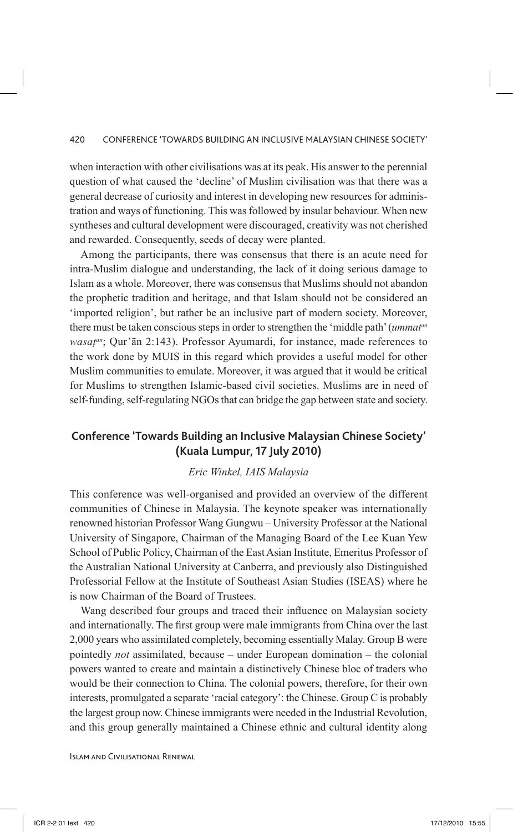when interaction with other civilisations was at its peak. His answer to the perennial question of what caused the 'decline' of Muslim civilisation was that there was a general decrease of curiosity and interest in developing new resources for administration and ways of functioning. This was followed by insular behaviour. When new syntheses and cultural development were discouraged, creativity was not cherished and rewarded. Consequently, seeds of decay were planted.

Among the participants, there was consensus that there is an acute need for intra-Muslim dialogue and understanding, the lack of it doing serious damage to Islam as a whole. Moreover, there was consensus that Muslims should not abandon the prophetic tradition and heritage, and that Islam should not be considered an 'imported religion', but rather be an inclusive part of modern society. Moreover, there must be taken conscious steps in order to strengthen the 'middle path' (*ummatan wasat<sup>an</sup>*; Qur'ān 2:143). Professor Ayumardi, for instance, made references to the work done by MUIS in this regard which provides a useful model for other Muslim communities to emulate. Moreover, it was argued that it would be critical for Muslims to strengthen Islamic-based civil societies. Muslims are in need of self-funding, self-regulating NGOs that can bridge the gap between state and society.

## **Conference 'Towards Building an Inclusive Malaysian Chinese Society' (Kuala Lumpur, 17 July 2010)**

## *Eric Winkel, IAIS Malaysia*

This conference was well-organised and provided an overview of the different communities of Chinese in Malaysia. The keynote speaker was internationally renowned historian Professor Wang Gungwu – University Professor at the National University of Singapore, Chairman of the Managing Board of the Lee Kuan Yew School of Public Policy, Chairman of the East Asian Institute, Emeritus Professor of the Australian National University at Canberra, and previously also Distinguished Professorial Fellow at the Institute of Southeast Asian Studies (ISEAS) where he is now Chairman of the Board of Trustees.

Wang described four groups and traced their influence on Malaysian society and internationally. The first group were male immigrants from China over the last 2,000 years who assimilated completely, becoming essentially Malay. Group B were pointedly *not* assimilated, because – under European domination – the colonial powers wanted to create and maintain a distinctively Chinese bloc of traders who would be their connection to China. The colonial powers, therefore, for their own interests, promulgated a separate 'racial category': the Chinese. Group C is probably the largest group now. Chinese immigrants were needed in the Industrial Revolution, and this group generally maintained a Chinese ethnic and cultural identity along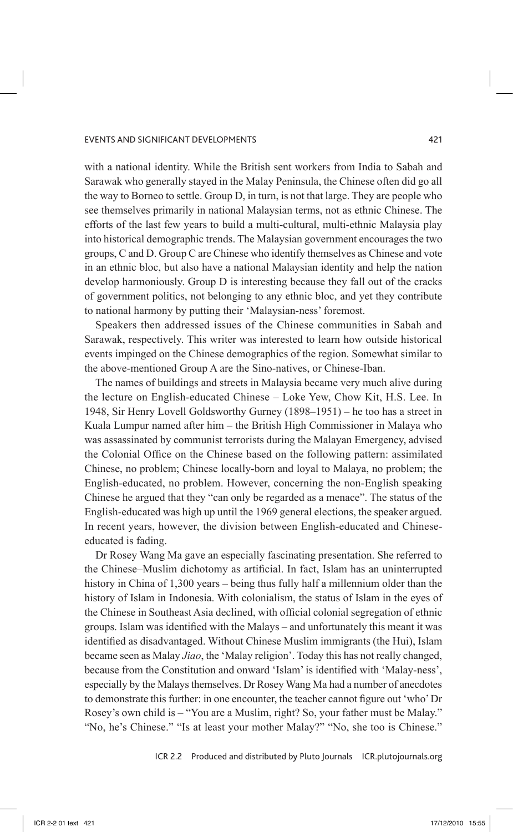with a national identity. While the British sent workers from India to Sabah and Sarawak who generally stayed in the Malay Peninsula, the Chinese often did go all the way to Borneo to settle. Group D, in turn, is not that large. They are people who see themselves primarily in national Malaysian terms, not as ethnic Chinese. The efforts of the last few years to build a multi-cultural, multi-ethnic Malaysia play into historical demographic trends. The Malaysian government encourages the two groups, C and D. Group C are Chinese who identify themselves as Chinese and vote in an ethnic bloc, but also have a national Malaysian identity and help the nation develop harmoniously. Group D is interesting because they fall out of the cracks of government politics, not belonging to any ethnic bloc, and yet they contribute to national harmony by putting their 'Malaysian-ness' foremost.

Speakers then addressed issues of the Chinese communities in Sabah and Sarawak, respectively. This writer was interested to learn how outside historical events impinged on the Chinese demographics of the region. Somewhat similar to the above-mentioned Group A are the Sino-natives, or Chinese-Iban.

The names of buildings and streets in Malaysia became very much alive during the lecture on English-educated Chinese – Loke Yew, Chow Kit, H.S. Lee. In 1948, Sir Henry Lovell Goldsworthy Gurney (1898–1951) – he too has a street in Kuala Lumpur named after him – the British High Commissioner in Malaya who was assassinated by communist terrorists during the Malayan Emergency, advised the Colonial Office on the Chinese based on the following pattern: assimilated Chinese, no problem; Chinese locally-born and loyal to Malaya, no problem; the English-educated, no problem. However, concerning the non-English speaking Chinese he argued that they "can only be regarded as a menace". The status of the English-educated was high up until the 1969 general elections, the speaker argued. In recent years, however, the division between English-educated and Chineseeducated is fading.

Dr Rosey Wang Ma gave an especially fascinating presentation. She referred to the Chinese–Muslim dichotomy as artificial. In fact, Islam has an uninterrupted history in China of 1,300 years – being thus fully half a millennium older than the history of Islam in Indonesia. With colonialism, the status of Islam in the eyes of the Chinese in Southeast Asia declined, with official colonial segregation of ethnic groups. Islam was identified with the Malays – and unfortunately this meant it was identified as disadvantaged. Without Chinese Muslim immigrants (the Hui), Islam became seen as Malay *Jiao*, the 'Malay religion'. Today this has not really changed, because from the Constitution and onward 'Islam' is identified with 'Malay-ness', especially by the Malays themselves. Dr Rosey Wang Ma had a number of anecdotes to demonstrate this further: in one encounter, the teacher cannot figure out 'who' Dr Rosey's own child is – "You are a Muslim, right? So, your father must be Malay." "No, he's Chinese." "Is at least your mother Malay?" "No, she too is Chinese."